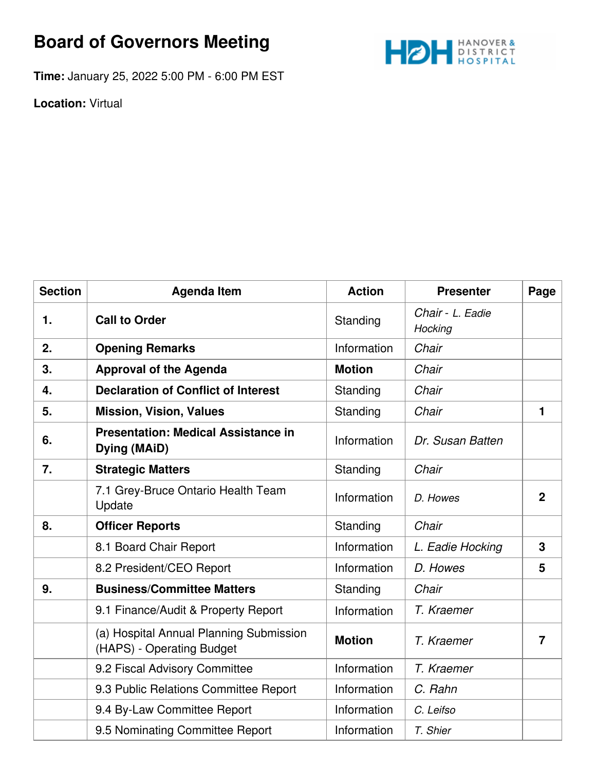## **Board of Governors Meeting**



**Time:** January 25, 2022 5:00 PM - 6:00 PM EST

**Location:** Virtual

| <b>Section</b> | <b>Agenda Item</b>                                                   | <b>Action</b> | <b>Presenter</b>            | Page           |
|----------------|----------------------------------------------------------------------|---------------|-----------------------------|----------------|
| 1.             | <b>Call to Order</b>                                                 | Standing      | Chair - L. Eadie<br>Hocking |                |
| 2.             | <b>Opening Remarks</b>                                               | Information   | Chair                       |                |
| 3.             | <b>Approval of the Agenda</b>                                        | <b>Motion</b> | Chair                       |                |
| 4.             | <b>Declaration of Conflict of Interest</b>                           | Standing      | Chair                       |                |
| 5.             | <b>Mission, Vision, Values</b>                                       | Standing      | Chair                       | $\mathbf{1}$   |
| 6.             | <b>Presentation: Medical Assistance in</b><br><b>Dying (MAiD)</b>    | Information   | Dr. Susan Batten            |                |
| 7.             | <b>Strategic Matters</b>                                             | Standing      | Chair                       |                |
|                | 7.1 Grey-Bruce Ontario Health Team<br>Update                         | Information   | D. Howes                    | $\overline{2}$ |
| 8.             | <b>Officer Reports</b>                                               | Standing      | Chair                       |                |
|                | 8.1 Board Chair Report                                               | Information   | L. Eadie Hocking            | 3              |
|                | 8.2 President/CEO Report                                             | Information   | D. Howes                    | 5              |
| 9.             | <b>Business/Committee Matters</b>                                    | Standing      | Chair                       |                |
|                | 9.1 Finance/Audit & Property Report                                  | Information   | T. Kraemer                  |                |
|                | (a) Hospital Annual Planning Submission<br>(HAPS) - Operating Budget | <b>Motion</b> | T. Kraemer                  | $\overline{7}$ |
|                | 9.2 Fiscal Advisory Committee                                        | Information   | T. Kraemer                  |                |
|                | 9.3 Public Relations Committee Report                                | Information   | C. Rahn                     |                |
|                | 9.4 By-Law Committee Report                                          | Information   | C. Leifso                   |                |
|                | 9.5 Nominating Committee Report                                      | Information   | T. Shier                    |                |